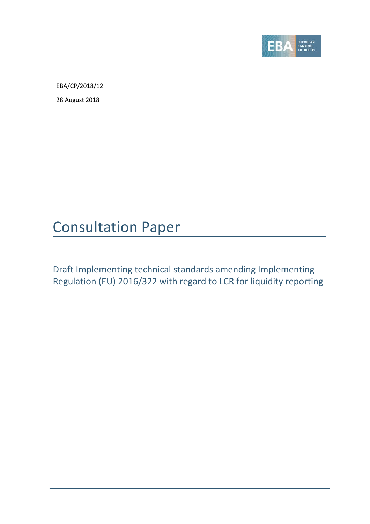

EBA/CP/2018/12

28 August 2018

### Consultation Paper

Draft Implementing technical standards amending Implementing Regulation (EU) 2016/322 with regard to LCR for liquidity reporting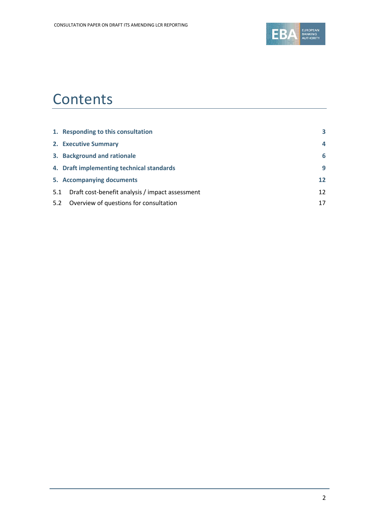

### **Contents**

|     | 1. Responding to this consultation              | 3  |
|-----|-------------------------------------------------|----|
|     | 2. Executive Summary                            | 4  |
|     | 3. Background and rationale                     | 6  |
|     | 4. Draft implementing technical standards       | 9  |
|     | 5. Accompanying documents                       | 12 |
| 5.1 | Draft cost-benefit analysis / impact assessment | 12 |
| 5.2 | Overview of questions for consultation          | 17 |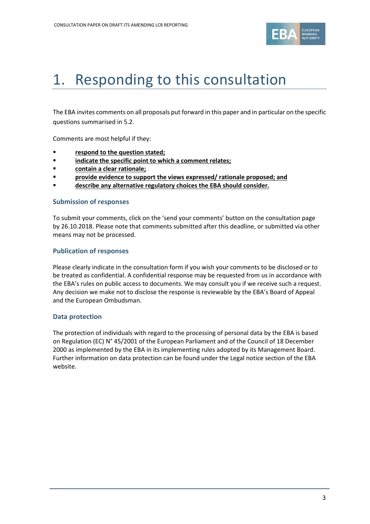

## <span id="page-2-0"></span>1. Responding to this consultation

The EBA invites comments on all proposals put forward in this paper and in particular on the specific questions summarised in 5.2.

Comments are most helpful if they:

- **respond to the question stated;**
- **indicate the specific point to which a comment relates;**
- **contain a clear rationale;**
- **Provide evidence to support the views expressed/ rationale proposed; and**
- **describe any alternative regulatory choices the EBA should consider.**

#### **Submission of responses**

To submit your comments, click on the 'send your comments' button on the consultation page by 26.10.2018. Please note that comments submitted after this deadline, or submitted via other means may not be processed.

#### **Publication of responses**

Please clearly indicate in the consultation form if you wish your comments to be disclosed or to be treated as confidential. A confidential response may be requested from us in accordance with the EBA's rules on public access to documents. We may consult you if we receive such a request. Any decision we make not to disclose the response is reviewable by the EBA's Board of Appeal and the European Ombudsman.

#### **Data protection**

The protection of individuals with regard to the processing of personal data by the EBA is based on Regulation (EC) N° 45/2001 of the European Parliament and of the Council of 18 December 2000 as implemented by the EBA in its implementing rules adopted by its Management Board. Further information on data protection can be found under the [Legal notice section](http://eba.europa.eu/legal-notice) of the EBA website.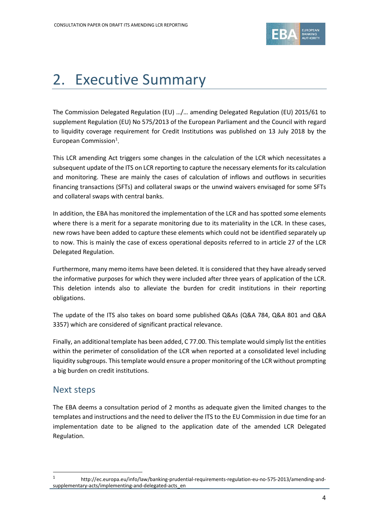

## <span id="page-3-0"></span>2. Executive Summary

The Commission Delegated Regulation (EU) …/… amending Delegated Regulation (EU) 2015/61 to supplement Regulation (EU) No 575/2013 of the European Parliament and the Council with regard to liquidity coverage requirement for Credit Institutions was published on 13 July 2018 by the European Commission<sup>[1](#page-3-1)</sup>.

This LCR amending Act triggers some changes in the calculation of the LCR which necessitates a subsequent update of the ITS on LCR reporting to capture the necessary elements for its calculation and monitoring. These are mainly the cases of calculation of inflows and outflows in securities financing transactions (SFTs) and collateral swaps or the unwind waivers envisaged for some SFTs and collateral swaps with central banks.

In addition, the EBA has monitored the implementation of the LCR and has spotted some elements where there is a merit for a separate monitoring due to its materiality in the LCR. In these cases, new rows have been added to capture these elements which could not be identified separately up to now. This is mainly the case of excess operational deposits referred to in article 27 of the LCR Delegated Regulation.

Furthermore, many memo items have been deleted. It is considered that they have already served the informative purposes for which they were included after three years of application of the LCR. This deletion intends also to alleviate the burden for credit institutions in their reporting obligations.

The update of the ITS also takes on board some published Q&As (Q&A 784, Q&A 801 and Q&A 3357) which are considered of significant practical relevance.

Finally, an additional template has been added, C 77.00. This template would simply list the entities within the perimeter of consolidation of the LCR when reported at a consolidated level including liquidity subgroups. This template would ensure a proper monitoring of the LCR without prompting a big burden on credit institutions.

### Next steps

 $\overline{a}$ 

The EBA deems a consultation period of 2 months as adequate given the limited changes to the templates and instructions and the need to deliver the ITS to the EU Commission in due time for an implementation date to be aligned to the application date of the amended LCR Delegated Regulation.

<span id="page-3-1"></span><sup>1</sup> http://ec.europa.eu/info/law/banking-prudential-requirements-regulation-eu-no-575-2013/amending-andsupplementary-acts/implementing-and-delegated-acts\_en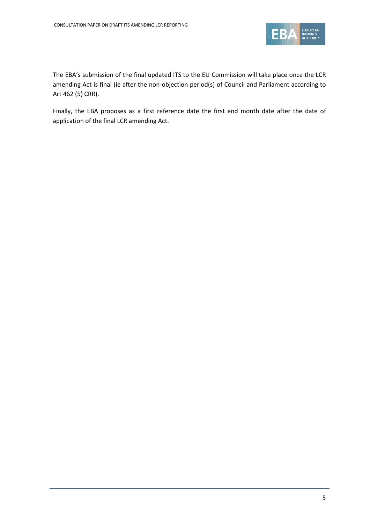

The EBA's submission of the final updated ITS to the EU Commission will take place once the LCR amending Act is final (ie after the non-objection period(s) of Council and Parliament according to Art 462 (5) CRR).

Finally, the EBA proposes as a first reference date the first end month date after the date of application of the final LCR amending Act.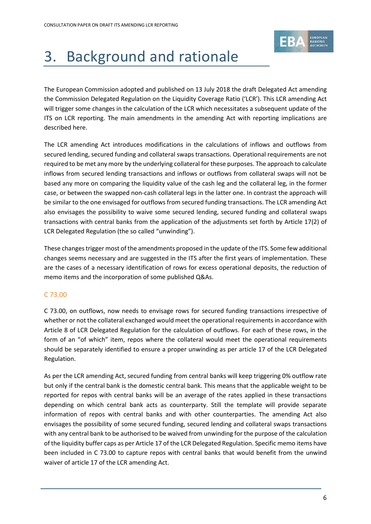

# <span id="page-5-0"></span>3. Background and rationale

The European Commission adopted and published on 13 July 2018 the draft Delegated Act amending the Commission Delegated Regulation on the Liquidity Coverage Ratio ('LCR'). This LCR amending Act will trigger some changes in the calculation of the LCR which necessitates a subsequent update of the ITS on LCR reporting. The main amendments in the amending Act with reporting implications are described here.

The LCR amending Act introduces modifications in the calculations of inflows and outflows from secured lending, secured funding and collateral swaps transactions. Operational requirements are not required to be met any more by the underlying collateral for these purposes. The approach to calculate inflows from secured lending transactions and inflows or outflows from collateral swaps will not be based any more on comparing the liquidity value of the cash leg and the collateral leg, in the former case, or between the swapped non-cash collateral legs in the latter one. In contrast the approach will be similar to the one envisaged for outflows from secured funding transactions. The LCR amending Act also envisages the possibility to waive some secured lending, secured funding and collateral swaps transactions with central banks from the application of the adjustments set forth by Article 17(2) of LCR Delegated Regulation (the so called "unwinding").

These changes trigger most of the amendments proposed in the update of the ITS. Some few additional changes seems necessary and are suggested in the ITS after the first years of implementation. These are the cases of a necessary identification of rows for excess operational deposits, the reduction of memo items and the incorporation of some published Q&As.

#### C 73.00

C 73.00, on outflows, now needs to envisage rows for secured funding transactions irrespective of whether or not the collateral exchanged would meet the operational requirements in accordance with Article 8 of LCR Delegated Regulation for the calculation of outflows. For each of these rows, in the form of an "of which" item, repos where the collateral would meet the operational requirements should be separately identified to ensure a proper unwinding as per article 17 of the LCR Delegated Regulation.

As per the LCR amending Act, secured funding from central banks will keep triggering 0% outflow rate but only if the central bank is the domestic central bank. This means that the applicable weight to be reported for repos with central banks will be an average of the rates applied in these transactions depending on which central bank acts as counterparty. Still the template will provide separate information of repos with central banks and with other counterparties. The amending Act also envisages the possibility of some secured funding, secured lending and collateral swaps transactions with any central bank to be authorised to be waived from unwinding for the purpose of the calculation of the liquidity buffer caps as per Article 17 of the LCR Delegated Regulation. Specific memo items have been included in C 73.00 to capture repos with central banks that would benefit from the unwind waiver of article 17 of the LCR amending Act.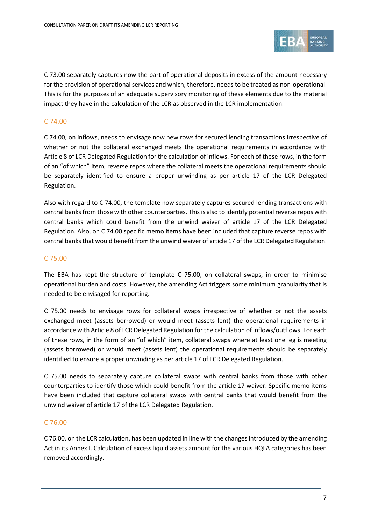

C 73.00 separately captures now the part of operational deposits in excess of the amount necessary for the provision of operational services and which, therefore, needs to be treated as non-operational. This is for the purposes of an adequate supervisory monitoring of these elements due to the material impact they have in the calculation of the LCR as observed in the LCR implementation.

#### C 74.00

C 74.00, on inflows, needs to envisage now new rows for secured lending transactions irrespective of whether or not the collateral exchanged meets the operational requirements in accordance with Article 8 of LCR Delegated Regulation for the calculation of inflows. For each of these rows, in the form of an "of which" item, reverse repos where the collateral meets the operational requirements should be separately identified to ensure a proper unwinding as per article 17 of the LCR Delegated Regulation.

Also with regard to C 74.00, the template now separately captures secured lending transactions with central banks from those with other counterparties. This is also to identify potential reverse repos with central banks which could benefit from the unwind waiver of article 17 of the LCR Delegated Regulation. Also, on C 74.00 specific memo items have been included that capture reverse repos with central banks that would benefit from the unwind waiver of article 17 of the LCR Delegated Regulation.

#### C 75.00

The EBA has kept the structure of template C 75.00, on collateral swaps, in order to minimise operational burden and costs. However, the amending Act triggers some minimum granularity that is needed to be envisaged for reporting.

C 75.00 needs to envisage rows for collateral swaps irrespective of whether or not the assets exchanged meet (assets borrowed) or would meet (assets lent) the operational requirements in accordance with Article 8 of LCR Delegated Regulation for the calculation of inflows/outflows. For each of these rows, in the form of an "of which" item, collateral swaps where at least one leg is meeting (assets borrowed) or would meet (assets lent) the operational requirements should be separately identified to ensure a proper unwinding as per article 17 of LCR Delegated Regulation.

C 75.00 needs to separately capture collateral swaps with central banks from those with other counterparties to identify those which could benefit from the article 17 waiver. Specific memo items have been included that capture collateral swaps with central banks that would benefit from the unwind waiver of article 17 of the LCR Delegated Regulation.

#### C 76.00

C 76.00, on the LCR calculation, has been updated in line with the changes introduced by the amending Act in its Annex I. Calculation of excess liquid assets amount for the various HQLA categories has been removed accordingly.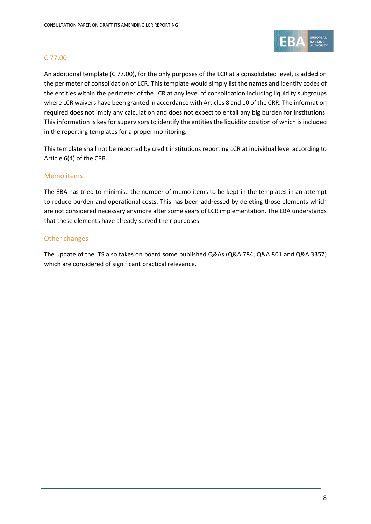

#### C 77.00

An additional template (C 77.00), for the only purposes of the LCR at a consolidated level, is added on the perimeter of consolidation of LCR. This template would simply list the names and identify codes of the entities within the perimeter of the LCR at any level of consolidation including liquidity subgroups where LCR waivers have been granted in accordance with Articles 8 and 10 of the CRR. The information required does not imply any calculation and does not expect to entail any big burden for institutions. This information is key for supervisors to identify the entities the liquidity position of which is included in the reporting templates for a proper monitoring.

This template shall not be reported by credit institutions reporting LCR at individual level according to Article 6(4) of the CRR.

#### Memo items

The EBA has tried to minimise the number of memo items to be kept in the templates in an attempt to reduce burden and operational costs. This has been addressed by deleting those elements which are not considered necessary anymore after some years of LCR implementation. The EBA understands that these elements have already served their purposes.

#### Other changes

The update of the ITS also takes on board some published Q&As (Q&A 784, Q&A 801 and Q&A 3357) which are considered of significant practical relevance.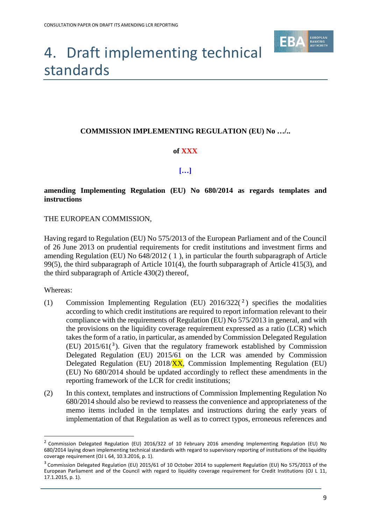

## <span id="page-8-0"></span>4. Draft implementing technical standards

#### **COMMISSION IMPLEMENTING REGULATION (EU) No …/..**

#### **of XXX**

#### **[…]**

#### **amending Implementing Regulation (EU) No 680/2014 as regards templates and instructions**

#### THE EUROPEAN COMMISSION,

Having regard to Regulation (EU) No 575/2013 of the European Parliament and of the Council of 26 June 2013 on prudential requirements for credit institutions and investment firms and amending Regulation (EU) No 648/2012 ( 1 ), in particular the fourth subparagraph of Article 99(5), the third subparagraph of Article 101(4), the fourth subparagraph of Article 415(3), and the third subparagraph of Article 430(2) thereof,

Whereas:

 $\overline{a}$ 

- (1) Commission Implementing Regulation (EU)  $2016/322(2)$  $2016/322(2)$  specifies the modalities according to which credit institutions are required to report information relevant to their compliance with the requirements of Regulation (EU) No 575/2013 in general, and with the provisions on the liquidity coverage requirement expressed as a ratio (LCR) which takes the form of a ratio, in particular, as amended by Commission Delegated Regulation (EU)  $2015/61(3)$  $2015/61(3)$  $2015/61(3)$ . Given that the regulatory framework established by Commission Delegated Regulation (EU) 2015/61 on the LCR was amended by Commission Delegated Regulation (EU) 2018/XX, Commission Implementing Regulation (EU) (EU) No 680/2014 should be updated accordingly to reflect these amendments in the reporting framework of the LCR for credit institutions;
- (2) In this context, templates and instructions of Commission Implementing Regulation No 680/2014 should also be reviewd to reassess the convenience and appropriateness of the memo items included in the templates and instructions during the early years of implementation of that Regulation as well as to correct typos, erroneous references and

<span id="page-8-1"></span><sup>&</sup>lt;sup>2</sup> Commission Delegated Regulation (EU) 2016/322 of 10 February 2016 amending Implementing Regulation (EU) No 680/2014 laying down implementing technical standards with regard to supervisory reporting of institutions of the liquidity coverage requirement (OJ L 64, 10.3.2016, p. 1).

<span id="page-8-2"></span> $3$  Commission Delegated Regulation (EU) 2015/61 of 10 October 2014 to supplement Regulation (EU) No 575/2013 of the European Parliament and of the Council with regard to liquidity coverage requirement for Credit Institutions (OJ L 11, 17.1.2015, p. 1).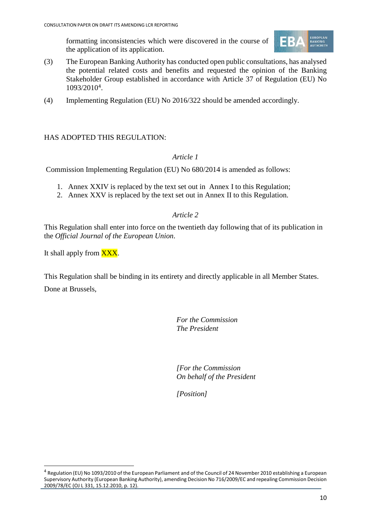formatting inconsistencies which were discovered in the course of the application of its application.



- (3) The European Banking Authority has conducted open public consultations, has analysed the potential related costs and benefits and requested the opinion of the Banking Stakeholder Group established in accordance with Article 37 of Regulation (EU) No 1093/2010[4](#page-9-0).
- (4) Implementing Regulation (EU) No 2016/322 should be amended accordingly.

#### HAS ADOPTED THIS REGULATION:

#### *Article 1*

Commission Implementing Regulation (EU) No 680/2014 is amended as follows:

- 1. Annex XXIV is replaced by the text set out in Annex I to this Regulation;
- 2. Annex XXV is replaced by the text set out in Annex II to this Regulation.

#### *Article 2*

This Regulation shall enter into force on the twentieth day following that of its publication in the *Official Journal of the European Union*.

It shall apply from **XXX**.

This Regulation shall be binding in its entirety and directly applicable in all Member States.

Done at Brussels,

 $\overline{a}$ 

*For the Commission The President*

*[For the Commission On behalf of the President*

*[Position]*

<span id="page-9-0"></span><sup>4</sup> Regulation (EU) No 1093/2010 of the European Parliament and of the Council of 24 November 2010 establishing a European Supervisory Authority (European Banking Authority), amending Decision No 716/2009/EC and repealing Commission Decision 2009/78/EC (OJ L 331, 15.12.2010, p. 12).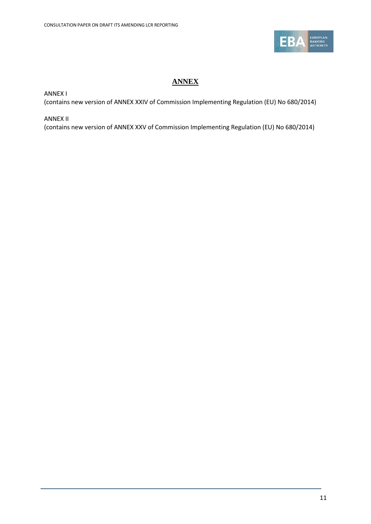

### **ANNEX**

ANNEX I

(contains new version of ANNEX XXIV of Commission Implementing Regulation (EU) No 680/2014)

ANNEX II

(contains new version of ANNEX XXV of Commission Implementing Regulation (EU) No 680/2014)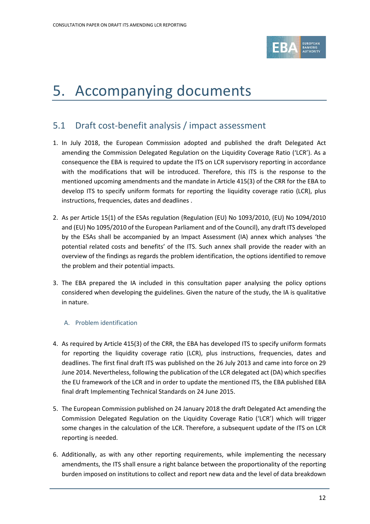

### <span id="page-11-0"></span>5. Accompanying documents

### <span id="page-11-1"></span>5.1 Draft cost-benefit analysis / impact assessment

- 1. In July 2018, the European Commission adopted and published the draft Delegated Act amending the Commission Delegated Regulation on the Liquidity Coverage Ratio ('LCR'). As a consequence the EBA is required to update the ITS on LCR supervisory reporting in accordance with the modifications that will be introduced. Therefore, this ITS is the response to the mentioned upcoming amendments and the mandate in Article 415(3) of the CRR for the EBA to develop ITS to specify uniform formats for reporting the liquidity coverage ratio (LCR), plus instructions, frequencies, dates and deadlines .
- 2. As per Article 15(1) of the ESAs regulation (Regulation (EU) No 1093/2010, (EU) No 1094/2010 and (EU) No 1095/2010 of the European Parliament and of the Council), any draft ITS developed by the ESAs shall be accompanied by an Impact Assessment (IA) annex which analyses 'the potential related costs and benefits' of the ITS. Such annex shall provide the reader with an overview of the findings as regards the problem identification, the options identified to remove the problem and their potential impacts.
- 3. The EBA prepared the IA included in this consultation paper analysing the policy options considered when developing the guidelines. Given the nature of the study, the IA is qualitative in nature.

#### A. Problem identification

- 4. As required by Article 415(3) of the CRR, the EBA has developed ITS to specify uniform formats for reporting the liquidity coverage ratio (LCR), plus instructions, frequencies, dates and deadlines. The first final draft ITS was published on the 26 July 2013 and came into force on 29 June 2014. Nevertheless, following the publication of the LCR delegated act (DA) which specifies the EU framework of the LCR and in order to update the mentioned ITS, the EBA published EBA final draft Implementing Technical Standards on 24 June 2015.
- 5. The European Commission published on 24 January 2018 the draft Delegated Act amending the Commission Delegated Regulation on the Liquidity Coverage Ratio ('LCR') which will trigger some changes in the calculation of the LCR. Therefore, a subsequent update of the ITS on LCR reporting is needed.
- 6. Additionally, as with any other reporting requirements, while implementing the necessary amendments, the ITS shall ensure a right balance between the proportionality of the reporting burden imposed on institutions to collect and report new data and the level of data breakdown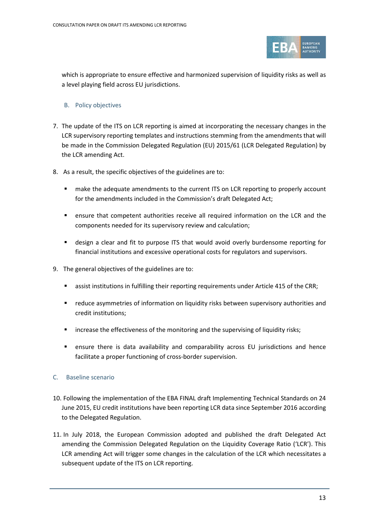

which is appropriate to ensure effective and harmonized supervision of liquidity risks as well as a level playing field across EU jurisdictions.

#### B. Policy objectives

- 7. The update of the ITS on LCR reporting is aimed at incorporating the necessary changes in the LCR supervisory reporting templates and instructions stemming from the amendments that will be made in the Commission Delegated Regulation (EU) 2015/61 (LCR Delegated Regulation) by the LCR amending Act.
- 8. As a result, the specific objectives of the guidelines are to:
	- **EXECT** make the adequate amendments to the current ITS on LCR reporting to properly account for the amendments included in the Commission's draft Delegated Act;
	- ensure that competent authorities receive all required information on the LCR and the components needed for its supervisory review and calculation;
	- design a clear and fit to purpose ITS that would avoid overly burdensome reporting for financial institutions and excessive operational costs for regulators and supervisors.
- 9. The general objectives of the guidelines are to:
	- assist institutions in fulfilling their reporting requirements under Article 415 of the CRR;
	- reduce asymmetries of information on liquidity risks between supervisory authorities and credit institutions;
	- **EXECT** increase the effectiveness of the monitoring and the supervising of liquidity risks;
	- ensure there is data availability and comparability across EU jurisdictions and hence facilitate a proper functioning of cross-border supervision.

#### C. Baseline scenario

- 10. Following the implementation of the EBA FINAL draft Implementing Technical Standards on 24 June 2015, EU credit institutions have been reporting LCR data since September 2016 according to the Delegated Regulation.
- 11. In July 2018, the European Commission adopted and published the draft Delegated Act amending the Commission Delegated Regulation on the Liquidity Coverage Ratio ('LCR'). This LCR amending Act will trigger some changes in the calculation of the LCR which necessitates a subsequent update of the ITS on LCR reporting.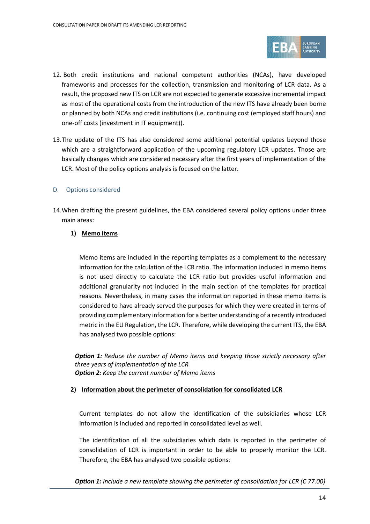

- 12. Both credit institutions and national competent authorities (NCAs), have developed frameworks and processes for the collection, transmission and monitoring of LCR data. As a result, the proposed new ITS on LCR are not expected to generate excessive incremental impact as most of the operational costs from the introduction of the new ITS have already been borne or planned by both NCAs and credit institutions (i.e. continuing cost (employed staff hours) and one-off costs (investment in IT equipment)).
- 13.The update of the ITS has also considered some additional potential updates beyond those which are a straightforward application of the upcoming regulatory LCR updates. Those are basically changes which are considered necessary after the first years of implementation of the LCR. Most of the policy options analysis is focused on the latter.

#### D. Options considered

14.When drafting the present guidelines, the EBA considered several policy options under three main areas:

#### **1) Memo items**

Memo items are included in the reporting templates as a complement to the necessary information for the calculation of the LCR ratio. The information included in memo items is not used directly to calculate the LCR ratio but provides useful information and additional granularity not included in the main section of the templates for practical reasons. Nevertheless, in many cases the information reported in these memo items is considered to have already served the purposes for which they were created in terms of providing complementary information for a better understanding of a recently introduced metric in the EU Regulation, the LCR. Therefore, while developing the current ITS, the EBA has analysed two possible options:

*Option 1: Reduce the number of Memo items and keeping those strictly necessary after three years of implementation of the LCR Option 2: Keep the current number of Memo items*

#### **2) Information about the perimeter of consolidation for consolidated LCR**

Current templates do not allow the identification of the subsidiaries whose LCR information is included and reported in consolidated level as well.

The identification of all the subsidiaries which data is reported in the perimeter of consolidation of LCR is important in order to be able to properly monitor the LCR. Therefore, the EBA has analysed two possible options:

*Option 1: Include a new template showing the perimeter of consolidation for LCR (C 77.00)*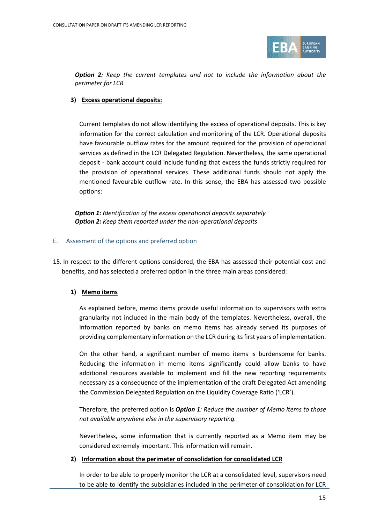

*Option 2: Keep the current templates and not to include the information about the perimeter for LCR*

#### **3) Excess operational deposits:**

Current templates do not allow identifying the excess of operational deposits. This is key information for the correct calculation and monitoring of the LCR. Operational deposits have favourable outflow rates for the amount required for the provision of operational services as defined in the LCR Delegated Regulation. Nevertheless, the same operational deposit - bank account could include funding that excess the funds strictly required for the provision of operational services. These additional funds should not apply the mentioned favourable outflow rate. In this sense, the EBA has assessed two possible options:

*Option 1: Identification of the excess operational deposits separately Option 2: Keep them reported under the non-operational deposits*

#### E. Assesment of the options and preferred option

15. In respect to the different options considered, the EBA has assessed their potential cost and benefits, and has selected a preferred option in the three main areas considered:

#### **1) Memo items**

As explained before, memo items provide useful information to supervisors with extra granularity not included in the main body of the templates. Nevertheless, overall, the information reported by banks on memo items has already served its purposes of providing complementary information on the LCR during its first years of implementation.

On the other hand, a significant number of memo items is burdensome for banks. Reducing the information in memo items significantly could allow banks to have additional resources available to implement and fill the new reporting requirements necessary as a consequence of the implementation of the draft Delegated Act amending the Commission Delegated Regulation on the Liquidity Coverage Ratio ('LCR').

Therefore, the preferred option is *Option 1: Reduce the number of Memo items to those not available anywhere else in the supervisory reporting.*

Nevertheless, some information that is currently reported as a Memo item may be considered extremely important. This information will remain.

#### **2) Information about the perimeter of consolidation for consolidated LCR**

In order to be able to properly monitor the LCR at a consolidated level, supervisors need to be able to identify the subsidiaries included in the perimeter of consolidation for LCR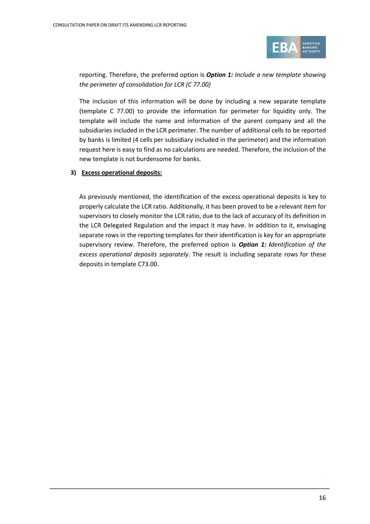

reporting. Therefore, the preferred option is *Option 1: Include a new template showing the perimeter of consolidation for LCR (C 77.00)*

The inclusion of this information will be done by including a new separate template (template C 77.00) to provide the information for perimeter for liquidity only. The template will include the name and information of the parent company and all the subsidiaries included in the LCR perimeter. The number of additional cells to be reported by banks is limited (4 cells per subsidiary included in the perimeter) and the information request here is easy to find as no calculations are needed. Therefore, the inclusion of the new template is not burdensome for banks.

#### **3) Excess operational deposits:**

As previously mentioned, the identification of the excess operational deposits is key to properly calculate the LCR ratio. Additionally, it has been proved to be a relevant item for supervisors to closely monitor the LCR ratio, due to the lack of accuracy of its definition in the LCR Delegated Regulation and the impact it may have. In addition to it, envisaging separate rows in the reporting templates for their identification is key for an appropriate supervisory review. Therefore, the preferred option is *Option 1: Identification of the excess operational deposits separately*. The result is including separate rows for these deposits in template C73.00.